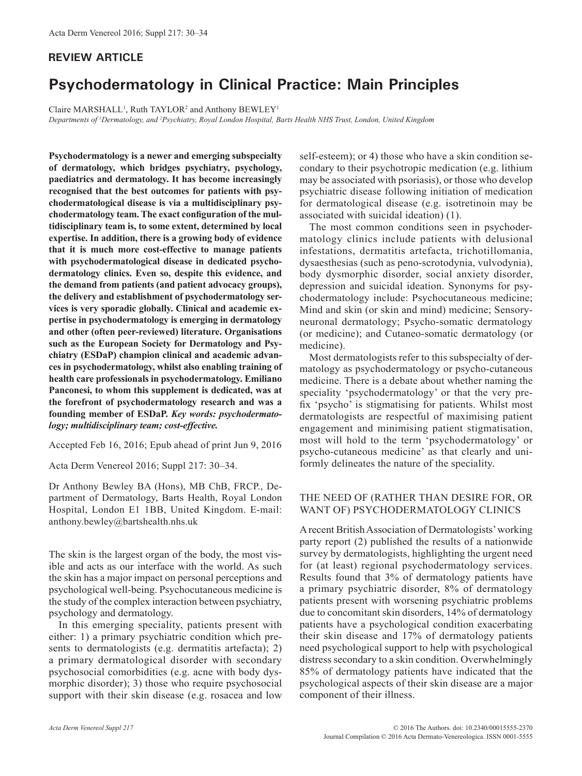# **REVIEW ARTICLE**

# **Psychodermatology in Clinical Practice: Main Principles**

Claire MARSHALL<sup>1</sup>, Ruth TAYLOR<sup>2</sup> and Anthony BEWLEY<sup>1</sup>

*Departments of 1 Dermatology, and 2 Psychiatry, Royal London Hospital, Barts Health NHS Trust, London, United Kingdom*

**Psychodermatology is a newer and emerging subspecialty of dermatology, which bridges psychiatry, psychology, paediatrics and dermatology. It has become increasingly recognised that the best outcomes for patients with psychodermatological disease is via a multidisciplinary psychodermatology team. The exact configuration of the multidisciplinary team is, to some extent, determined by local expertise. In addition, there is a growing body of evidence that it is much more cost-effective to manage patients with psychodermatological disease in dedicated psychodermatology clinics. Even so, despite this evidence, and the demand from patients (and patient advocacy groups), the delivery and establishment of psychodermatology services is very sporadic globally. Clinical and academic expertise in psychodermatology is emerging in dermatology and other (often peer-reviewed) literature. Organisations such as the European Society for Dermatology and Psychiatry (ESDaP) champion clinical and academic advances in psychodermatology, whilst also enabling training of health care professionals in psychodermatology. Emiliano Panconesi, to whom this supplement is dedicated, was at the forefront of psychodermatology research and was a founding member of ESDaP.** *Key words: psychodermatology; multidisciplinary team; cost-effective.*

Accepted Feb 16, 2016; Epub ahead of print Jun 9, 2016

Acta Derm Venereol 2016; Suppl 217: 30–34.

Dr Anthony Bewley BA (Hons), MB ChB, FRCP., Department of Dermatology, Barts Health, Royal London Hospital, London E1 1BB, United Kingdom. E-mail: anthony.bewley@bartshealth.nhs.uk

The skin is the largest organ of the body, the most vis ible and acts as our interface with the world. As such the skin has a major impact on personal perceptions and psychological well-being. Psychocutaneous medicine is the study of the complex interaction between psychiatry, psychology and dermatology.

In this emerging speciality, patients present with either: 1) a primary psychiatric condition which presents to dermatologists (e.g. dermatitis artefacta); 2) a primary dermatological disorder with secondary psychosocial comorbidities (e.g. acne with body dysmorphic disorder); 3) those who require psychosocial support with their skin disease (e.g. rosacea and low self-esteem); or 4) those who have a skin condition secondary to their psychotropic medication (e.g. lithium may be associated with psoriasis), or those who develop psychiatric disease following initiation of medication for dermatological disease (e.g. isotretinoin may be associated with suicidal ideation) (1).

The most common conditions seen in psychodermatology clinics include patients with delusional infestations, dermatitis artefacta, trichotillomania, dysaesthesias (such as peno-scrotodynia, vulvodynia), body dysmorphic disorder, social anxiety disorder, depression and suicidal ideation. Synonyms for psychodermatology include: Psychocutaneous medicine; Mind and skin (or skin and mind) medicine; Sensoryneuronal dermatology; Psycho-somatic dermatology (or medicine); and Cutaneo-somatic dermatology (or medicine).

Most dermatologists refer to this subspecialty of dermatology as psychodermatology or psycho-cutaneous medicine. There is a debate about whether naming the speciality 'psychodermatology' or that the very prefix 'psycho' is stigmatising for patients. Whilst most dermatologists are respectful of maximising patient engagement and minimising patient stigmatisation, most will hold to the term 'psychodermatology' or psycho-cutaneous medicine' as that clearly and uniformly delineates the nature of the speciality.

## THE NEED OF (RATHER THAN DESIRE FOR, OR WANT OF) PSYCHODERMATOLOGY CLINICS

A recent British Association of Dermatologists' working party report (2) published the results of a nationwide survey by dermatologists, highlighting the urgent need for (at least) regional psychodermatology services. Results found that 3% of dermatology patients have a primary psychiatric disorder, 8% of dermatology patients present with worsening psychiatric problems due to concomitant skin disorders, 14% of dermatology patients have a psychological condition exacerbating their skin disease and 17% of dermatology patients need psychological support to help with psychological distress secondary to a skin condition. Overwhelmingly 85% of dermatology patients have indicated that the psychological aspects of their skin disease are a major component of their illness.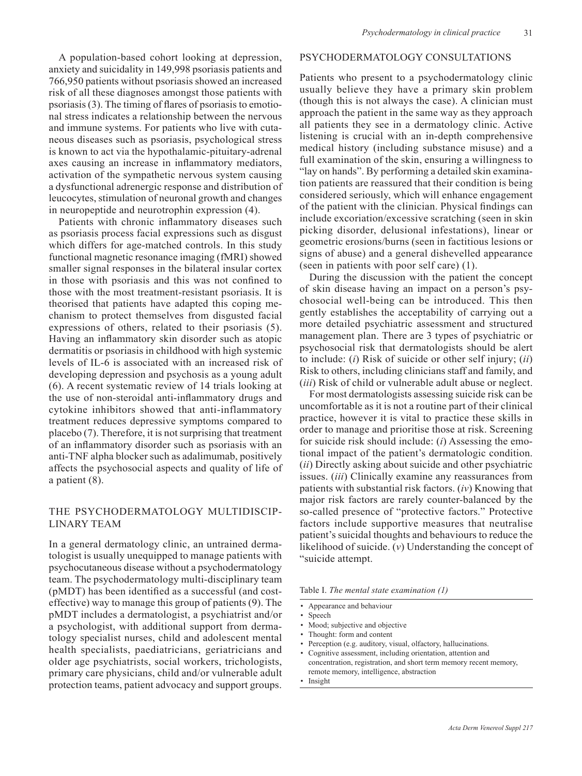A population-based cohort looking at depression, anxiety and suicidality in 149,998 psoriasis patients and 766,950 patients without psoriasis showed an increased risk of all these diagnoses amongst those patients with psoriasis (3). The timing of flares of psoriasis to emotional stress indicates a relationship between the nervous and immune systems. For patients who live with cutaneous diseases such as psoriasis, psychological stress is known to act via the hypothalamic-pituitary-adrenal axes causing an increase in inflammatory mediators, activation of the sympathetic nervous system causing a dysfunctional adrenergic response and distribution of leucocytes, stimulation of neuronal growth and changes in neuropeptide and neurotrophin expression (4).

Patients with chronic inflammatory diseases such as psoriasis process facial expressions such as disgust which differs for age-matched controls. In this study functional magnetic resonance imaging (fMRI) showed smaller signal responses in the bilateral insular cortex in those with psoriasis and this was not confined to those with the most treatment-resistant psoriasis. It is theorised that patients have adapted this coping mechanism to protect themselves from disgusted facial expressions of others, related to their psoriasis (5). Having an inflammatory skin disorder such as atopic dermatitis or psoriasis in childhood with high systemic levels of IL-6 is associated with an increased risk of developing depression and psychosis as a young adult (6). A recent systematic review of 14 trials looking at the use of non-steroidal anti-inflammatory drugs and cytokine inhibitors showed that anti-inflammatory treatment reduces depressive symptoms compared to placebo (7). Therefore, it is not surprising that treatment of an inflammatory disorder such as psoriasis with an anti-TNF alpha blocker such as adalimumab, positively affects the psychosocial aspects and quality of life of a patient (8).

# THE PSYCHODERMATOLOGY MULTIDISCIP-LINARY TEAM

In a general dermatology clinic, an untrained dermatologist is usually unequipped to manage patients with psychocutaneous disease without a psychodermatology team. The psychodermatology multi-disciplinary team (pMDT) has been identified as a successful (and costeffective) way to manage this group of patients (9). The pMDT includes a dermatologist, a psychiatrist and/or a psychologist, with additional support from dermatology specialist nurses, child and adolescent mental health specialists, paediatricians, geriatricians and older age psychiatrists, social workers, trichologists, primary care physicians, child and/or vulnerable adult protection teams, patient advocacy and support groups.

#### PSYCHODERMATOLOGY CONSULTATIONS

Patients who present to a psychodermatology clinic usually believe they have a primary skin problem (though this is not always the case). A clinician must approach the patient in the same way as they approach all patients they see in a dermatology clinic. Active listening is crucial with an in-depth comprehensive medical history (including substance misuse) and a full examination of the skin, ensuring a willingness to "lay on hands". By performing a detailed skin examination patients are reassured that their condition is being considered seriously, which will enhance engagement of the patient with the clinician. Physical findings can include excoriation/excessive scratching (seen in skin picking disorder, delusional infestations), linear or geometric erosions/burns (seen in factitious lesions or signs of abuse) and a general dishevelled appearance (seen in patients with poor self care) (1).

During the discussion with the patient the concept of skin disease having an impact on a person's psychosocial well-being can be introduced. This then gently establishes the acceptability of carrying out a more detailed psychiatric assessment and structured management plan. There are 3 types of psychiatric or psychosocial risk that dermatologists should be alert to include: (*i*) Risk of suicide or other self injury; (*ii*) Risk to others, including clinicians staff and family, and (*iii*) Risk of child or vulnerable adult abuse or neglect.

For most dermatologists assessing suicide risk can be uncomfortable as it is not a routine part of their clinical practice, however it is vital to practice these skills in order to manage and prioritise those at risk. Screening for suicide risk should include: (*i*) Assessing the emotional impact of the patient's dermatologic condition. (*ii*) Directly asking about suicide and other psychiatric issues. (*iii*) Clinically examine any reassurances from patients with substantial risk factors. (*iv*) Knowing that major risk factors are rarely counter-balanced by the so-called presence of "protective factors." Protective factors include supportive measures that neutralise patient's suicidal thoughts and behaviours to reduce the likelihood of suicide. (*v*) Understanding the concept of "suicide attempt.

Table I. *The mental state examination (1)*

- Appearance and behaviour
- Speech
- Mood; subjective and objective
- Thought: form and content
- Perception (e.g. auditory, visual, olfactory, hallucinations.
- Cognitive assessment, including orientation, attention and concentration, registration, and short term memory recent memory, remote memory, intelligence, abstraction
- Insight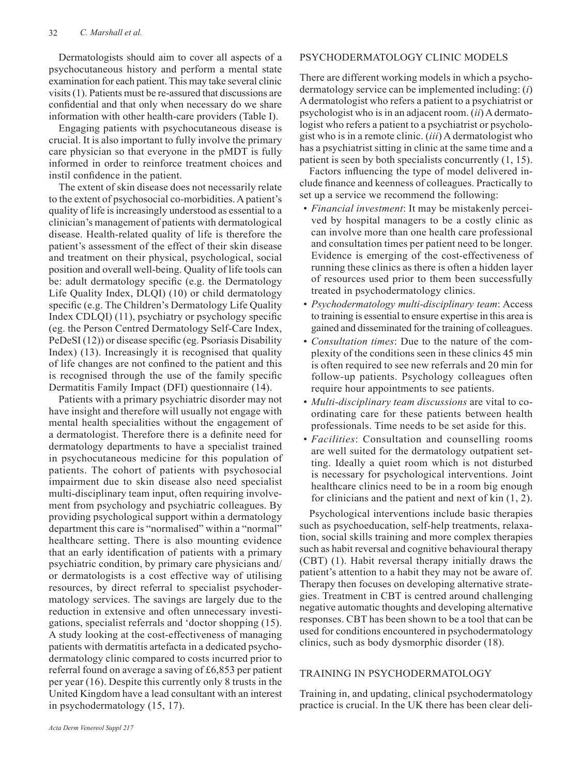Dermatologists should aim to cover all aspects of a psychocutaneous history and perform a mental state examination for each patient. This may take several clinic visits (1). Patients must be re-assured that discussions are confidential and that only when necessary do we share information with other health-care providers (Table I).

Engaging patients with psychocutaneous disease is crucial. It is also important to fully involve the primary care physician so that everyone in the pMDT is fully informed in order to reinforce treatment choices and instil confidence in the patient.

The extent of skin disease does not necessarily relate to the extent of psychosocial co-morbidities. A patient's quality of life is increasingly understood as essential to a clinician's management of patients with dermatological disease. Health-related quality of life is therefore the patient's assessment of the effect of their skin disease and treatment on their physical, psychological, social position and overall well-being. Quality of life tools can be: adult dermatology specific (e.g. the Dermatology Life Quality Index, DLQI) (10) or child dermatology specific (e.g. The Children's Dermatology Life Quality Index CDLQI) (11), psychiatry or psychology specific (eg. the Person Centred Dermatology Self-Care Index, PeDeSI (12)) or disease specific (eg. Psoriasis Disability Index) (13). Increasingly it is recognised that quality of life changes are not confined to the patient and this is recognised through the use of the family specific Dermatitis Family Impact (DFI) questionnaire (14).

Patients with a primary psychiatric disorder may not have insight and therefore will usually not engage with mental health specialities without the engagement of a dermatologist. Therefore there is a definite need for dermatology departments to have a specialist trained in psychocutaneous medicine for this population of patients. The cohort of patients with psychosocial impairment due to skin disease also need specialist multi-disciplinary team input, often requiring involvement from psychology and psychiatric colleagues. By providing psychological support within a dermatology department this care is "normalised" within a "normal" healthcare setting. There is also mounting evidence that an early identification of patients with a primary psychiatric condition, by primary care physicians and/ or dermatologists is a cost effective way of utilising resources, by direct referral to specialist psychodermatology services. The savings are largely due to the reduction in extensive and often unnecessary investigations, specialist referrals and 'doctor shopping (15). A study looking at the cost-effectiveness of managing patients with dermatitis artefacta in a dedicated psychodermatology clinic compared to costs incurred prior to referral found on average a saving of £6,853 per patient per year (16). Despite this currently only 8 trusts in the United Kingdom have a lead consultant with an interest in psychodermatology (15, 17).

### PSYCHODERMATOLOGY CLINIC MODELS

There are different working models in which a psychodermatology service can be implemented including: (*i*) A dermatologist who refers a patient to a psychiatrist or psychologist who is in an adjacent room. (*ii*) A dermatologist who refers a patient to a psychiatrist or psychologist who is in a remote clinic. (*iii*) A dermatologist who has a psychiatrist sitting in clinic at the same time and a patient is seen by both specialists concurrently (1, 15).

Factors influencing the type of model delivered include finance and keenness of colleagues. Practically to set up a service we recommend the following:

- *Financial investment*: It may be mistakenly perceived by hospital managers to be a costly clinic as can involve more than one health care professional and consultation times per patient need to be longer. Evidence is emerging of the cost-effectiveness of running these clinics as there is often a hidden layer of resources used prior to them been successfully treated in psychodermatology clinics.
- *Psychodermatology multi-disciplinary team*: Access to training is essential to ensure expertise in this area is gained and disseminated for the training of colleagues.
- *Consultation times*: Due to the nature of the complexity of the conditions seen in these clinics 45 min is often required to see new referrals and 20 min for follow-up patients. Psychology colleagues often require hour appointments to see patients.
- *Multi-disciplinary team discussions* are vital to coordinating care for these patients between health professionals. Time needs to be set aside for this.
- *Facilities*: Consultation and counselling rooms are well suited for the dermatology outpatient setting. Ideally a quiet room which is not disturbed is necessary for psychological interventions. Joint healthcare clinics need to be in a room big enough for clinicians and the patient and next of kin (1, 2).

Psychological interventions include basic therapies such as psychoeducation, self-help treatments, relaxation, social skills training and more complex therapies such as habit reversal and cognitive behavioural therapy (CBT) (1). Habit reversal therapy initially draws the patient's attention to a habit they may not be aware of. Therapy then focuses on developing alternative strategies. Treatment in CBT is centred around challenging negative automatic thoughts and developing alternative responses. CBT has been shown to be a tool that can be used for conditions encountered in psychodermatology clinics, such as body dysmorphic disorder (18).

### TRAINING IN PSYCHODERMATOLOGY

Training in, and updating, clinical psychodermatology practice is crucial. In the UK there has been clear deli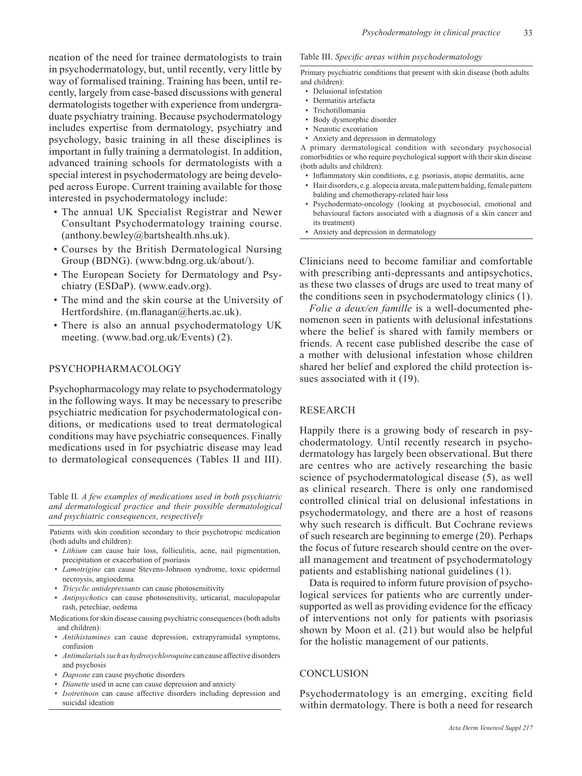neation of the need for trainee dermatologists to train in psychodermatology, but, until recently, very little by way of formalised training. Training has been, until recently, largely from case-based discussions with general dermatologists together with experience from undergraduate psychiatry training. Because psychodermatology includes expertise from dermatology, psychiatry and psychology, basic training in all these disciplines is important in fully training a dermatologist. In addition, advanced training schools for dermatologists with a special interest in psychodermatology are being developed across Europe. Current training available for those interested in psychodermatology include:

- The annual UK Specialist Registrar and Newer Consultant Psychodermatology training course. (anthony.bewley@bartshealth.nhs.uk).
- Courses by the British Dermatological Nursing Group (BDNG). (www.bdng.org.uk/about/).
- The European Society for Dermatology and Psychiatry (ESDaP). (www.eadv.org).
- The mind and the skin course at the University of Hertfordshire. (m.flanagan@herts.ac.uk).
- There is also an annual psychodermatology UK meeting. (www.bad.org.uk/Events) (2).

# PSYCHOPHARMACOLOGY

Psychopharmacology may relate to psychodermatology in the following ways. It may be necessary to prescribe psychiatric medication for psychodermatological conditions, or medications used to treat dermatological conditions may have psychiatric consequences. Finally medications used in for psychiatric disease may lead to dermatological consequences (Tables II and III).

Table II*. A few examples of medications used in both psychiatric and dermatological practice and their possible dermatological and psychiatric consequences, respectively*

Patients with skin condition secondary to their psychotropic medication (both adults and children):

- *Lithium* can cause hair loss, folliculitis, acne, nail pigmentation, precipitation or exacerbation of psoriasis
- *Lamotrigine* can cause Stevens-Johnson syndrome, toxic epidermal necroysis, angioedema
- *Tricyclic antidepressants* can cause photosensitivity
- *Antipsychotics* can cause photosensitivity, urticarial, maculopapular rash, petechiae, oedema

Medications for skin disease causing psychiatric consequences (both adults and children):

- *Antihistamines* can cause depression, extrapyramidal symptoms, confusion
- *Antimalarials such as hydroxychloroquine* can cause affective disorders and psychosis
- *Dapsone* can cause psychotic disorders
- *Dianette* used in acne can cause depression and anxiety
- *Isotretinoin* can cause affective disorders including depression and suicidal ideation

#### Table III. *Specific areas within psychodermatology*

Primary psychiatric conditions that present with skin disease (both adults and children)

- Delusional infestation
- Dermatitis artefacta
- Trichotillomania
- Body dysmorphic disorder
- Neurotic excoriation
- Anxiety and depression in dermatology

A primary dermatological condition with secondary psychosocial comorbidities or who require psychological support with their skin disease (both adults and children):

- Inflammatory skin conditions, e.g. psoriasis, atopic dermatitis, acne
- Hair disorders, e.g. alopecia areata, male pattern balding, female pattern balding and chemotherapy-related hair loss
- Psychodermato-oncology (looking at psychosocial, emotional and behavioural factors associated with a diagnosis of a skin cancer and its treatment)
- Anxiety and depression in dermatology

Clinicians need to become familiar and comfortable with prescribing anti-depressants and antipsychotics, as these two classes of drugs are used to treat many of the conditions seen in psychodermatology clinics (1).

*Folie a deux/en famille* is a well-documented phenomenon seen in patients with delusional infestations where the belief is shared with family members or friends. A recent case published describe the case of a mother with delusional infestation whose children shared her belief and explored the child protection issues associated with it (19).

#### RESEARCH

Happily there is a growing body of research in psychodermatology. Until recently research in psychodermatology has largely been observational. But there are centres who are actively researching the basic science of psychodermatological disease (5), as well as clinical research. There is only one randomised controlled clinical trial on delusional infestations in psychodermatology, and there are a host of reasons why such research is difficult. But Cochrane reviews of such research are beginning to emerge (20). Perhaps the focus of future research should centre on the overall management and treatment of psychodermatology patients and establishing national guidelines (1).

Data is required to inform future provision of psychological services for patients who are currently undersupported as well as providing evidence for the efficacy of interventions not only for patients with psoriasis shown by Moon et al. (21) but would also be helpful for the holistic management of our patients.

#### **CONCLUSION**

Psychodermatology is an emerging, exciting field within dermatology. There is both a need for research